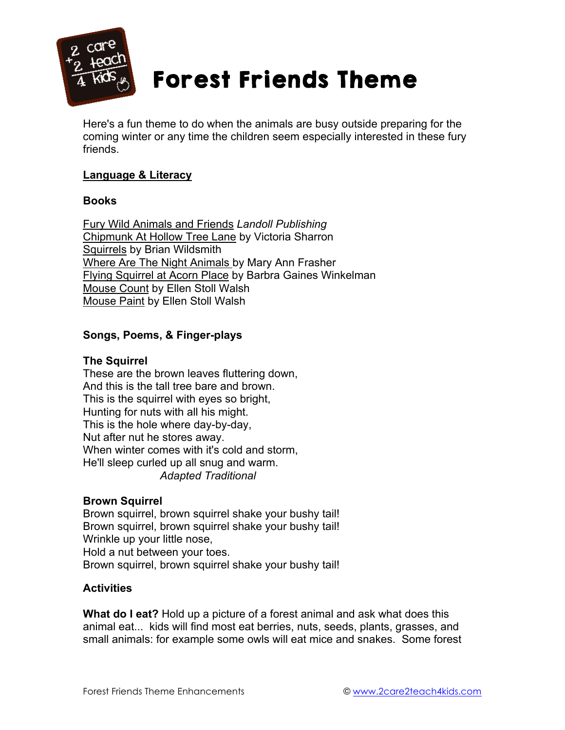

# Forest Friends Theme

Here's a fun theme to do when the animals are busy outside preparing for the coming winter or any time the children seem especially interested in these fury friends.

# **Language & Literacy**

#### **Books**

Fury Wild Animals and Friends *Landoll Publishing* Chipmunk At Hollow Tree Lane by Victoria Sharron Squirrels by Brian Wildsmith Where Are The Night Animals by Mary Ann Frasher Flying Squirrel at Acorn Place by Barbra Gaines Winkelman Mouse Count by Ellen Stoll Walsh Mouse Paint by Ellen Stoll Walsh

# **Songs, Poems, & Finger-plays**

# **The Squirrel**

These are the brown leaves fluttering down, And this is the tall tree bare and brown. This is the squirrel with eyes so bright, Hunting for nuts with all his might. This is the hole where day-by-day, Nut after nut he stores away. When winter comes with it's cold and storm, He'll sleep curled up all snug and warm. *Adapted Traditional*

# **Brown Squirrel**

Brown squirrel, brown squirrel shake your bushy tail! Brown squirrel, brown squirrel shake your bushy tail! Wrinkle up your little nose, Hold a nut between your toes. Brown squirrel, brown squirrel shake your bushy tail!

# **Activities**

**What do I eat?** Hold up a picture of a forest animal and ask what does this animal eat... kids will find most eat berries, nuts, seeds, plants, grasses, and small animals: for example some owls will eat mice and snakes. Some forest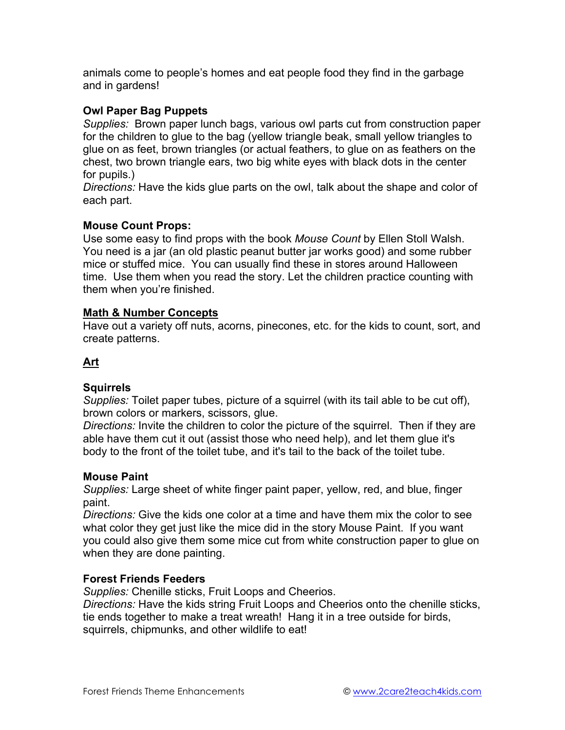animals come to people's homes and eat people food they find in the garbage and in gardens!

# **Owl Paper Bag Puppets**

*Supplies:* Brown paper lunch bags, various owl parts cut from construction paper for the children to glue to the bag (yellow triangle beak, small yellow triangles to glue on as feet, brown triangles (or actual feathers, to glue on as feathers on the chest, two brown triangle ears, two big white eyes with black dots in the center for pupils.)

*Directions:* Have the kids glue parts on the owl, talk about the shape and color of each part.

# **Mouse Count Props:**

Use some easy to find props with the book *Mouse Count* by Ellen Stoll Walsh. You need is a jar (an old plastic peanut butter jar works good) and some rubber mice or stuffed mice. You can usually find these in stores around Halloween time. Use them when you read the story. Let the children practice counting with them when you're finished.

# **Math & Number Concepts**

Have out a variety off nuts, acorns, pinecones, etc. for the kids to count, sort, and create patterns.

# **Art**

# **Squirrels**

*Supplies:* Toilet paper tubes, picture of a squirrel (with its tail able to be cut off), brown colors or markers, scissors, glue.

*Directions:* Invite the children to color the picture of the squirrel. Then if they are able have them cut it out (assist those who need help), and let them glue it's body to the front of the toilet tube, and it's tail to the back of the toilet tube.

# **Mouse Paint**

*Supplies:* Large sheet of white finger paint paper, yellow, red, and blue, finger paint.

*Directions:* Give the kids one color at a time and have them mix the color to see what color they get just like the mice did in the story Mouse Paint. If you want you could also give them some mice cut from white construction paper to glue on when they are done painting.

# **Forest Friends Feeders**

*Supplies:* Chenille sticks, Fruit Loops and Cheerios.

*Directions:* Have the kids string Fruit Loops and Cheerios onto the chenille sticks, tie ends together to make a treat wreath! Hang it in a tree outside for birds, squirrels, chipmunks, and other wildlife to eat!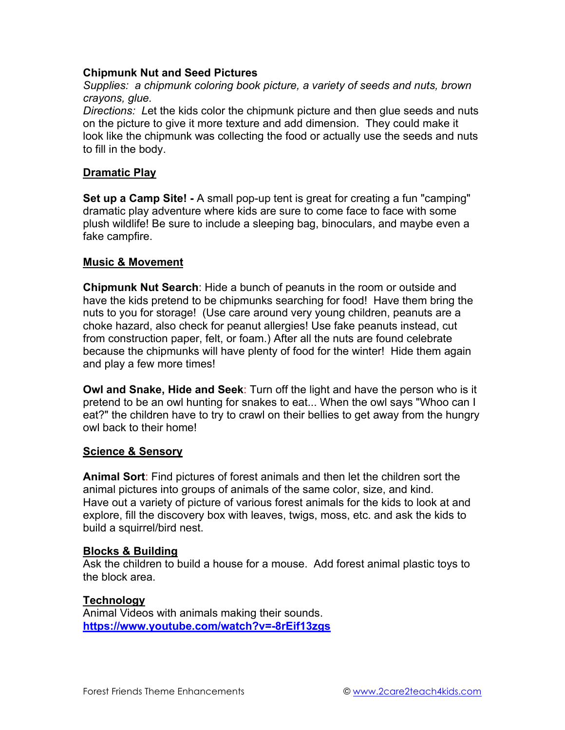# **Chipmunk Nut and Seed Pictures**

*Supplies: a chipmunk coloring book picture, a variety of seeds and nuts, brown crayons, glue.*

*Directions: L*et the kids color the chipmunk picture and then glue seeds and nuts on the picture to give it more texture and add dimension. They could make it look like the chipmunk was collecting the food or actually use the seeds and nuts to fill in the body.

#### **Dramatic Play**

**Set up a Camp Site! -** A small pop-up tent is great for creating a fun "camping" dramatic play adventure where kids are sure to come face to face with some plush wildlife! Be sure to include a sleeping bag, binoculars, and maybe even a fake campfire.

#### **Music & Movement**

**Chipmunk Nut Search**: Hide a bunch of peanuts in the room or outside and have the kids pretend to be chipmunks searching for food! Have them bring the nuts to you for storage! (Use care around very young children, peanuts are a choke hazard, also check for peanut allergies! Use fake peanuts instead, cut from construction paper, felt, or foam.) After all the nuts are found celebrate because the chipmunks will have plenty of food for the winter! Hide them again and play a few more times!

**Owl and Snake, Hide and Seek**: Turn off the light and have the person who is it pretend to be an owl hunting for snakes to eat... When the owl says "Whoo can I eat?" the children have to try to crawl on their bellies to get away from the hungry owl back to their home!

#### **Science & Sensory**

**Animal Sort**: Find pictures of forest animals and then let the children sort the animal pictures into groups of animals of the same color, size, and kind. Have out a variety of picture of various forest animals for the kids to look at and explore, fill the discovery box with leaves, twigs, moss, etc. and ask the kids to build a squirrel/bird nest.

#### **Blocks & Building**

Ask the children to build a house for a mouse. Add forest animal plastic toys to the block area.

#### **Technology**

Animal Videos with animals making their sounds. **https://www.youtube.com/watch?v=-8rEif13zgs**